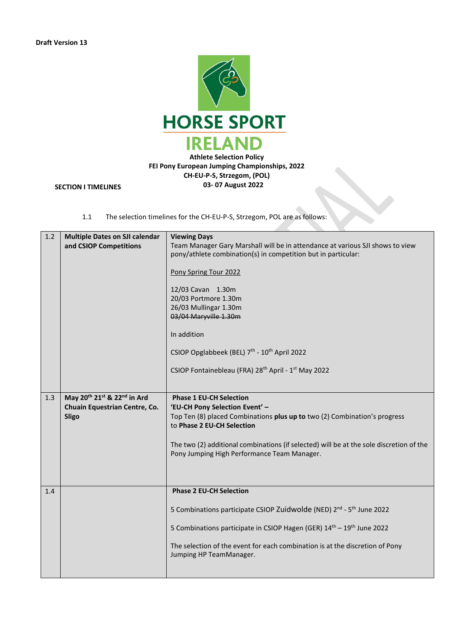

# **SECTION I TIMELINES**

1.1 The selection timelines for the CH-EU-P-S, Strzegom, POL are as follows:

| 1.2 | <b>Multiple Dates on SJI calendar</b><br>and CSIOP Competitions                                                  | <b>Viewing Days</b><br>Team Manager Gary Marshall will be in attendance at various SJI shows to view<br>pony/athlete combination(s) in competition but in particular:<br>Pony Spring Tour 2022<br>12/03 Cavan 1.30m<br>20/03 Portmore 1.30m<br>26/03 Mullingar 1.30m<br>03/04 Maryville 1.30m<br>In addition<br>CSIOP Opglabbeek (BEL) 7th - 10th April 2022<br>CSIOP Fontainebleau (FRA) 28 <sup>th</sup> April - 1 <sup>st</sup> May 2022 |
|-----|------------------------------------------------------------------------------------------------------------------|---------------------------------------------------------------------------------------------------------------------------------------------------------------------------------------------------------------------------------------------------------------------------------------------------------------------------------------------------------------------------------------------------------------------------------------------|
| 1.3 | May 20 <sup>th</sup> 21 <sup>st</sup> & 22 <sup>nd</sup> in Ard<br>Chuain Equestrian Centre, Co.<br><b>Sligo</b> | <b>Phase 1 EU-CH Selection</b><br>'EU-CH Pony Selection Event' -<br>Top Ten (8) placed Combinations plus up to two (2) Combination's progress<br>to Phase 2 EU-CH Selection<br>The two (2) additional combinations (if selected) will be at the sole discretion of the<br>Pony Jumping High Performance Team Manager.                                                                                                                       |
| 1.4 |                                                                                                                  | <b>Phase 2 EU-CH Selection</b><br>5 Combinations participate CSIOP Zuidwolde (NED) 2 <sup>nd</sup> - 5 <sup>th</sup> June 2022<br>5 Combinations participate in CSIOP Hagen (GER) 14 <sup>th</sup> - 19 <sup>th</sup> June 2022<br>The selection of the event for each combination is at the discretion of Pony<br>Jumping HP TeamManager.                                                                                                  |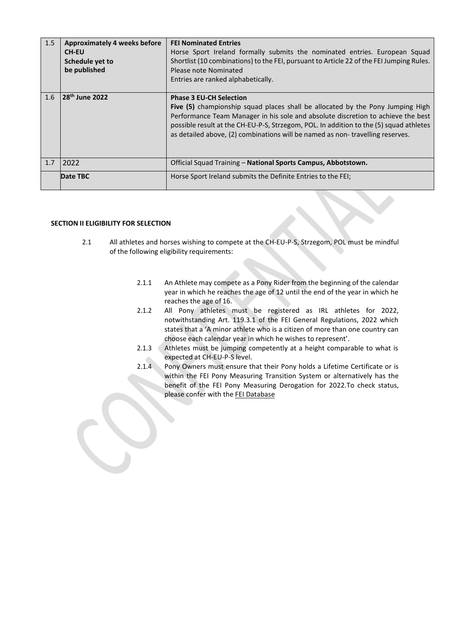| 1.5 | <b>Approximately 4 weeks before</b><br><b>CH-EU</b><br>Schedule yet to<br>be published | <b>FEI Nominated Entries</b><br>Horse Sport Ireland formally submits the nominated entries. European Squad<br>Shortlist (10 combinations) to the FEI, pursuant to Article 22 of the FEI Jumping Rules.<br>Please note Nominated<br>Entries are ranked alphabetically.                                                                                                           |
|-----|----------------------------------------------------------------------------------------|---------------------------------------------------------------------------------------------------------------------------------------------------------------------------------------------------------------------------------------------------------------------------------------------------------------------------------------------------------------------------------|
| 1.6 | 28 <sup>th</sup> June 2022                                                             | <b>Phase 3 EU-CH Selection</b><br>Five (5) championship squad places shall be allocated by the Pony Jumping High<br>Performance Team Manager in his sole and absolute discretion to achieve the best<br>possible result at the CH-EU-P-S, Strzegom, POL. In addition to the (5) squad athletes<br>as detailed above, (2) combinations will be named as non-travelling reserves. |
| 1.7 | 2022                                                                                   | Official Squad Training - National Sports Campus, Abbotstown.                                                                                                                                                                                                                                                                                                                   |
|     | Date TBC                                                                               | Horse Sport Ireland submits the Definite Entries to the FEI;                                                                                                                                                                                                                                                                                                                    |

# **SECTION II ELIGIBILITY FOR SELECTION**

- 2.1 All athletes and horses wishing to compete at the CH-EU-P-S, Strzegom, POL must be mindful of the following eligibility requirements:
	- 2.1.1 An Athlete may compete as a Pony Rider from the beginning of the calendar year in which he reaches the age of 12 until the end of the year in which he reaches the age of 16.
	- 2.1.2 All Pony athletes must be registered as IRL athletes for 2022, notwithstanding Art. 119.3.1 of the FEI General Regulations, 2022 which states that a 'A minor athlete who is a citizen of more than one country can choose each calendar year in which he wishes to represent'.
	- 2.1.3 Athletes must be jumping competently at a height comparable to what is expected at CH-EU-P-S level.
	- 2.1.4 Pony Owners must ensure that their Pony holds a Lifetime Certificate or is within the FEI Pony Measuring Transition System or alternatively has the benefit of the FEI Pony Measuring Derogation for 2022.To check status, please confer with the FEI Database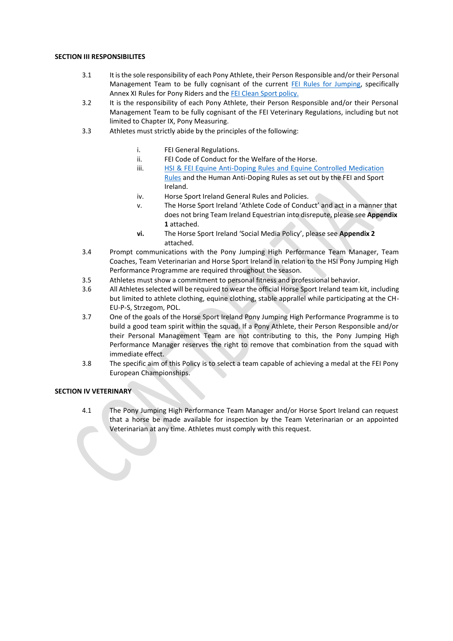# **SECTION III RESPONSIBILITES**

- 3.1 It isthe sole responsibility of each Pony Athlete, their Person Responsible and/or their Personal Management Team to be fully cognisant of the current FEI Rules for Jumping, specifically Annex XI Rules for Pony Riders and the FEI Clean Sport policy.
- 3.2 It is the responsibility of each Pony Athlete, their Person Responsible and/or their Personal Management Team to be fully cognisant of the FEI Veterinary Regulations, including but not limited to Chapter IX, Pony Measuring.
- 3.3 Athletes must strictly abide by the principles of the following:
	- i. FEI General Regulations.<br>ii. FEI Code of Conduct for t
	- FEI Code of Conduct for the Welfare of the Horse.
	- iii. HSI & FEI Equine Anti-Doping Rules and Equine Controlled Medication Rules and the Human Anti-Doping Rules as set out by the FEI and Sport Ireland.
	- iv. Horse Sport Ireland General Rules and Policies.
	- v. The Horse Sport Ireland 'Athlete Code of Conduct' and act in a manner that does not bring Team Ireland Equestrian into disrepute, please see **Appendix 1** attached.
	- **vi.** The Horse Sport Ireland 'Social Media Policy', please see **Appendix 2** attached.
- 3.4 Prompt communications with the Pony Jumping High Performance Team Manager, Team Coaches, Team Veterinarian and Horse Sport Ireland in relation to the HSI Pony Jumping High Performance Programme are required throughout the season.
- 3.5 Athletes must show a commitment to personal fitness and professional behavior.
- 3.6 All Athletes selected will be required to wear the official Horse Sport Ireland team kit, including but limited to athlete clothing, equine clothing, stable apprallel while participating at the CH-EU-P-S, Strzegom, POL.
- 3.7 One of the goals of the Horse Sport Ireland Pony Jumping High Performance Programme is to build a good team spirit within the squad. If a Pony Athlete, their Person Responsible and/or their Personal Management Team are not contributing to this, the Pony Jumping High Performance Manager reserves the right to remove that combination from the squad with immediate effect.
- 3.8 The specific aim of this Policy is to select a team capable of achieving a medal at the FEI Pony European Championships.

# **SECTION IV VETERINARY**

4.1 The Pony Jumping High Performance Team Manager and/or Horse Sport Ireland can request that a horse be made available for inspection by the Team Veterinarian or an appointed Veterinarian at any time. Athletes must comply with this request.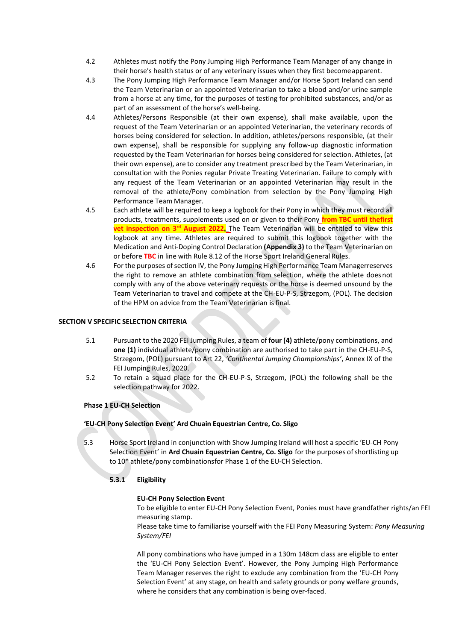- 4.2 Athletes must notify the Pony Jumping High Performance Team Manager of any change in their horse's health status or of any veterinary issues when they first becomeapparent.
- 4.3 The Pony Jumping High Performance Team Manager and/or Horse Sport Ireland can send the Team Veterinarian or an appointed Veterinarian to take a blood and/or urine sample from a horse at any time, for the purposes of testing for prohibited substances, and/or as part of an assessment of the horse's well-being.
- 4.4 Athletes/Persons Responsible (at their own expense), shall make available, upon the request of the Team Veterinarian or an appointed Veterinarian, the veterinary records of horses being considered for selection. In addition, athletes/persons responsible, (at their own expense), shall be responsible for supplying any follow-up diagnostic information requested by the Team Veterinarian for horses being considered for selection. Athletes, (at their own expense), are to consider any treatment prescribed by the Team Veterinarian, in consultation with the Ponies regular Private Treating Veterinarian. Failure to comply with any request of the Team Veterinarian or an appointed Veterinarian may result in the removal of the athlete/Pony combination from selection by the Pony Jumping High Performance Team Manager.
- 4.5 Each athlete will be required to keep a logbook for their Pony in which they must record all products, treatments, supplements used on or given to their Pony **from TBC until thefirst vet inspection on 3<sup>rd</sup> August 2022.** The Team Veterinarian will be entitled to view this logbook at any time. Athletes are required to submit this logbook together with the Medication and Anti-Doping Control Declaration **(Appendix 3)** to the Team Veterinarian on or before **TBC** in line with Rule 8.12 of the Horse Sport Ireland General Rules.
- 4.6 For the purposes ofsection IV, the Pony Jumping High Performance Team Managerreserves the right to remove an athlete combination from selection, where the athlete does not comply with any of the above veterinary requests or the horse is deemed unsound by the Team Veterinarian to travel and compete at the CH-EU-P-S, Strzegom, (POL). The decision of the HPM on advice from the Team Veterinarian is final.

# **SECTION V SPECIFIC SELECTION CRITERIA**

- 5.1 Pursuant to the 2020 FEI Jumping Rules, a team of **four (4)** athlete/pony combinations, and **one (1)** individual athlete/pony combination are authorised to take part in the CH-EU-P-S, Strzegom, (POL) pursuant to Art 22, *'Continental Jumping Championships'*, Annex IX of the FEI Jumping Rules, 2020.
- 5.2 To retain a squad place for the CH-EU-P-S, Strzegom, (POL) the following shall be the selection pathway for 2022.

# **Phase 1 EU-CH Selection**

# **'EU-CH Pony Selection Event' Ard Chuain Equestrian Centre, Co. Sligo**

5.3 Horse Sport Ireland in conjunction with Show Jumping Ireland will host a specific 'EU-CH Pony Selection Event' in **Ard Chuain Equestrian Centre, Co. Sligo** for the purposes ofshortlisting up to 10\* athlete/pony combinationsfor Phase 1 of the EU-CH Selection.

# **5.3.1 Eligibility**

# **EU-CH Pony Selection Event**

To be eligible to enter EU-CH Pony Selection Event, Ponies must have grandfather rights/an FEI measuring stamp.

Please take time to familiarise yourself with the FEI Pony Measuring System: *Pony Measuring System/FEI* 

All pony combinations who have jumped in a 130m 148cm class are eligible to enter the 'EU-CH Pony Selection Event'. However, the Pony Jumping High Performance Team Manager reserves the right to exclude any combination from the 'EU-CH Pony Selection Event' at any stage, on health and safety grounds or pony welfare grounds, where he considers that any combination is being over-faced.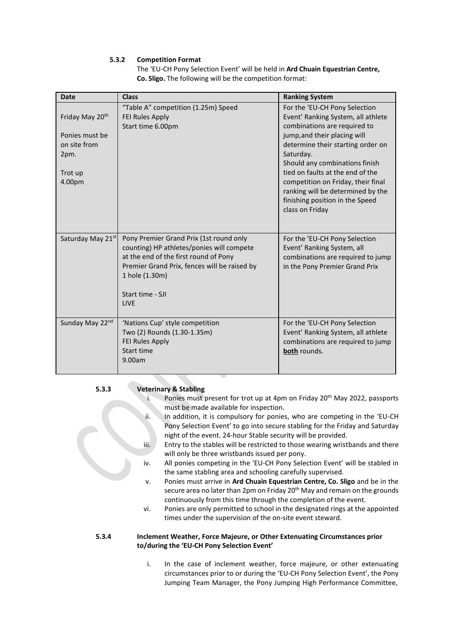# **5.3.2 Competition Format**

The 'EU-CH Pony Selection Event' will be held in **Ard Chuain Equestrian Centre, Co. Sligo.** The following will be the competition format:

| <b>Date</b>                                                                    | <b>Class</b>                                                                                                                                                                                                                       | <b>Ranking System</b>                                                                                                                                                                                                                                                                                                                                                                        |
|--------------------------------------------------------------------------------|------------------------------------------------------------------------------------------------------------------------------------------------------------------------------------------------------------------------------------|----------------------------------------------------------------------------------------------------------------------------------------------------------------------------------------------------------------------------------------------------------------------------------------------------------------------------------------------------------------------------------------------|
| Friday May 20th<br>Ponies must be<br>on site from<br>2pm.<br>Trot up<br>4.00pm | "Table A" competition (1.25m) Speed<br><b>FEI Rules Apply</b><br>Start time 6.00pm                                                                                                                                                 | For the 'EU-CH Pony Selection<br>Event' Ranking System, all athlete<br>combinations are required to<br>jump, and their placing will<br>determine their starting order on<br>Saturday.<br>Should any combinations finish<br>tied on faults at the end of the<br>competition on Friday, their final<br>ranking will be determined by the<br>finishing position in the Speed<br>class on Friday |
| Saturday May 21st                                                              | Pony Premier Grand Prix (1st round only<br>counting) HP athletes/ponies will compete<br>at the end of the first round of Pony<br>Premier Grand Prix, fences will be raised by<br>1 hole (1.30m)<br>Start time - SJI<br><b>IIVF</b> | For the 'EU-CH Pony Selection<br>Event' Ranking System, all<br>combinations are required to jump<br>in the Pony Premier Grand Prix                                                                                                                                                                                                                                                           |
| Sunday May 22nd                                                                | 'Nations Cup' style competition<br>Two (2) Rounds (1.30-1.35m)<br><b>FEI Rules Apply</b><br>Start time<br>9.00am                                                                                                                   | For the 'EU-CH Pony Selection<br>Event' Ranking System, all athlete<br>combinations are required to jump<br>both rounds.                                                                                                                                                                                                                                                                     |

#### **5.3.3 Veterinary & Stabling**

- i. Ponies must present for trot up at 4pm on Friday  $20<sup>th</sup>$  May 2022, passports must be made available for inspection.
- ii. In addition, it is compulsory for ponies, who are competing in the 'EU-CH Pony Selection Event' to go into secure stabling for the Friday and Saturday night of the event. 24-hour Stable security will be provided.
- iii. Entry to the stables will be restricted to those wearing wristbands and there will only be three wristbands issued per pony.
- iv. All ponies competing in the 'EU-CH Pony Selection Event' will be stabled in the same stabling area and schooling carefully supervised.
- v. Ponies must arrive in **Ard Chuain Equestrian Centre, Co. Sligo** and be in the secure area no later than 2pm on Friday 20<sup>th</sup> May and remain on the grounds continuously from this time through the completion of the event.
- vi. Ponies are only permitted to school in the designated rings at the appointed times under the supervision of the on-site event steward.

# **5.3.4 Inclement Weather, Force Majeure, or Other Extenuating Circumstances prior to/during the 'EU-CH Pony Selection Event'**

i. In the case of inclement weather, force majeure, or other extenuating circumstances prior to or during the 'EU-CH Pony Selection Event', the Pony Jumping Team Manager, the Pony Jumping High Performance Committee,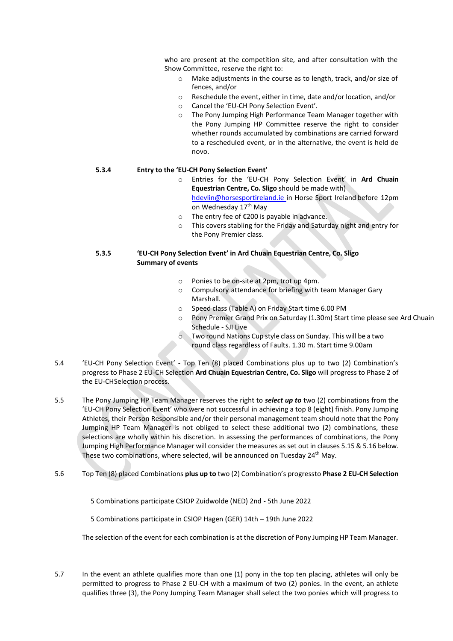who are present at the competition site, and after consultation with the Show Committee, reserve the right to:

- o Make adjustments in the course as to length, track, and/or size of fences, and/or
- o Reschedule the event, either in time, date and/or location, and/or
- o Cancel the 'EU-CH Pony Selection Event'.
- o The Pony Jumping High Performance Team Manager together with the Pony Jumping HP Committee reserve the right to consider whether rounds accumulated by combinations are carried forward to a rescheduled event, or in the alternative, the event is held de novo.

#### **5.3.4 Entry to the 'EU-CH Pony Selection Event'**

- o Entries for the 'EU-CH Pony Selection Event' in **Ard Chuain Equestrian Centre, Co. Sligo** should be made with) [hdevlin@horsesportireland.ie](mailto:tconnors@horsesportireland.ie) in Horse Sport Ireland before 12pm on Wednesday 17<sup>th</sup> May
- o The entry fee of €200 is payable in advance.
- o This covers stabling for the Friday and Saturday night and entry for the Pony Premier class.

# **5.3.5 'EU-CH Pony Selection Event' in Ard Chuain Equestrian Centre, Co. Sligo Summary of events**

- o Ponies to be on-site at 2pm, trot up 4pm.
- o Compulsory attendance for briefing with team Manager Gary Marshall.
- o Speed class (Table A) on Friday Start time 6.00 PM
- o Pony Premier Grand Prix on Saturday (1.30m) Start time please see Ard Chuain Schedule - SJI Live
- o Two round Nations Cup style class on Sunday. This will be a two round class regardless of Faults. 1.30 m. Start time 9.00am
- 5.4 'EU-CH Pony Selection Event' Top Ten (8) placed Combinations plus up to two (2) Combination's progress to Phase 2 EU-CH Selection **Ard Chuain Equestrian Centre, Co. Sligo** will progress to Phase 2 of the EU-CHSelection process.
- 5.5 The Pony Jumping HP Team Manager reserves the right to *select up to* two (2) combinations from the 'EU-CH Pony Selection Event' who were not successful in achieving a top 8 (eight) finish. Pony Jumping Athletes, their Person Responsible and/or their personal management team should note that the Pony Jumping HP Team Manager is not obliged to select these additional two (2) combinations, these selections are wholly within his discretion. In assessing the performances of combinations, the Pony Jumping High Performance Manager will consider the measures as set out in clauses 5.15 & 5.16 below. These two combinations, where selected, will be announced on Tuesday 24th May.
- 5.6 Top Ten (8) placed Combinations **plus up to** two (2) Combination's progressto **Phase 2 EU-CH Selection**

5 Combinations participate CSIOP Zuidwolde (NED) 2nd - 5th June 2022

5 Combinations participate in CSIOP Hagen (GER) 14th – 19th June 2022

The selection of the event for each combination is at the discretion of Pony Jumping HP Team Manager.

5.7 In the event an athlete qualifies more than one (1) pony in the top ten placing, athletes will only be permitted to progress to Phase 2 EU-CH with a maximum of two (2) ponies. In the event, an athlete qualifies three (3), the Pony Jumping Team Manager shall select the two ponies which will progress to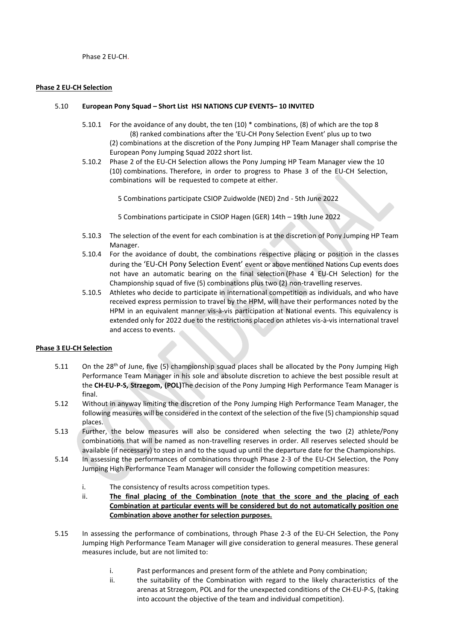Phase 2 EU-CH.

#### **Phase 2 EU-CH Selection**

# 5.10 **European Pony Squad – Short List HSI NATIONS CUP EVENTS– 10 INVITED**

- 5.10.1 For the avoidance of any doubt, the ten (10) \* combinations, (8) of which are the top 8 (8) ranked combinations after the 'EU-CH Pony Selection Event' plus up to two (2) combinations at the discretion of the Pony Jumping HP Team Manager shall comprise the European Pony Jumping Squad 2022 short list.
- 5.10.2 Phase 2 of the EU-CH Selection allows the Pony Jumping HP Team Manager view the 10 (10) combinations. Therefore, in order to progress to Phase 3 of the EU-CH Selection, combinations will be requested to compete at either.
	- 5 Combinations participate CSIOP Zuidwolde (NED) 2nd 5th June 2022
	- 5 Combinations participate in CSIOP Hagen (GER) 14th 19th June 2022
- 5.10.3 The selection of the event for each combination is at the discretion of Pony Jumping HP Team Manager.
- 5.10.4 For the avoidance of doubt, the combinations respective placing or position in the classes during the 'EU-CH Pony Selection Event' event or above mentioned Nations Cup events does not have an automatic bearing on the final selection (Phase 4 EU-CH Selection) for the Championship squad of five (5) combinations plus two (2) non-travelling reserves.
- 5.10.5 Athletes who decide to participate in international competition as individuals, and who have received express permission to travel by the HPM, will have their performances noted by the HPM in an equivalent manner vis-à-vis participation at National events. This equivalency is extended only for 2022 due to the restrictions placed on athletes vis-à-vis international travel and access to events.

# **Phase 3 EU-CH Selection**

- 5.11 On the 28<sup>th</sup> of June, five (5) championship squad places shall be allocated by the Pony Jumping High Performance Team Manager in his sole and absolute discretion to achieve the best possible result at the **CH-EU-P-S, Strzegom, (POL)**The decision of the Pony Jumping High Performance Team Manager is final.
- 5.12 Without in anyway limiting the discretion of the Pony Jumping High Performance Team Manager, the following measures will be considered in the context of the selection of the five (5) championship squad places.
- 5.13 Further, the below measures will also be considered when selecting the two (2) athlete/Pony combinations that will be named as non-travelling reserves in order. All reserves selected should be available (if necessary) to step in and to the squad up until the departure date for the Championships.
- 5.14 In assessing the performances of combinations through Phase 2-3 of the EU-CH Selection, the Pony Jumping High Performance Team Manager will consider the following competition measures:
	- i. The consistency of results across competition types.
	- ii. **The final placing of the Combination (note that the score and the placing of each Combination at particular events will be considered but do not automatically position one Combination above another for selection purposes.**
- 5.15 In assessing the performance of combinations, through Phase 2-3 of the EU-CH Selection, the Pony Jumping High Performance Team Manager will give consideration to general measures. These general measures include, but are not limited to:
	- i. Past performances and present form of the athlete and Pony combination;
	- ii. the suitability of the Combination with regard to the likely characteristics of the arenas at Strzegom, POL and for the unexpected conditions of the CH-EU-P-S, (taking into account the objective of the team and individual competition).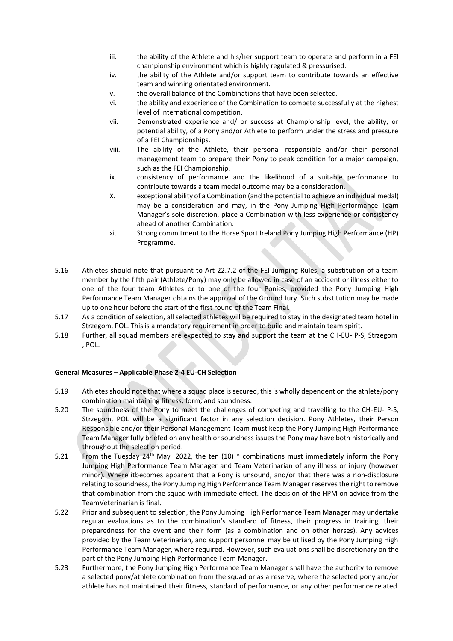- iii. the ability of the Athlete and his/her support team to operate and perform in a FEI championship environment which is highly regulated & pressurised.
- iv. the ability of the Athlete and/or support team to contribute towards an effective team and winning orientated environment.
- v. the overall balance of the Combinations that have been selected.
- vi. the ability and experience of the Combination to compete successfully at the highest level of international competition.
- vii. Demonstrated experience and/ or success at Championship level; the ability, or potential ability, of a Pony and/or Athlete to perform under the stress and pressure of a FEI Championships.
- viii. The ability of the Athlete, their personal responsible and/or their personal management team to prepare their Pony to peak condition for a major campaign, such as the FEI Championship.
- ix. consistency of performance and the likelihood of a suitable performance to contribute towards a team medal outcome may be a consideration.
- X. exceptional ability of a Combination (and the potential to achieve an individual medal) may be a consideration and may, in the Pony Jumping High Performance Team Manager's sole discretion, place a Combination with less experience or consistency ahead of another Combination.
- xi. Strong commitment to the Horse Sport Ireland Pony Jumping High Performance (HP) Programme.
- 5.16 Athletes should note that pursuant to Art 22.7.2 of the FEI Jumping Rules, a substitution of a team member by the fifth pair (Athlete/Pony) may only be allowed in case of an accident or illness either to one of the four team Athletes or to one of the four Ponies, provided the Pony Jumping High Performance Team Manager obtains the approval of the Ground Jury. Such substitution may be made up to one hour before the start of the first round of the Team Final.
- 5.17 As a condition of selection, all selected athletes will be required to stay in the designated team hotel in Strzegom, POL. This is a mandatory requirement in order to build and maintain team spirit.
- 5.18 Further, all squad members are expected to stay and support the team at the CH-EU- P-S, Strzegom , POL.

# **General Measures – Applicable Phase 2-4 EU-CH Selection**

- 5.19 Athletes should note that where a squad place is secured, this is wholly dependent on the athlete/pony combination maintaining fitness, form, and soundness.
- 5.20 The soundness of the Pony to meet the challenges of competing and travelling to the CH-EU- P-S, Strzegom, POL will be a significant factor in any selection decision. Pony Athletes, their Person Responsible and/or their Personal Management Team must keep the Pony Jumping High Performance Team Manager fully briefed on any health or soundness issues the Pony may have both historically and throughout the selection period.
- 5.21 From the Tuesday 24<sup>th</sup> May 2022, the ten  $(10)$  \* combinations must immediately inform the Pony Jumping High Performance Team Manager and Team Veterinarian of any illness or injury (however minor). Where itbecomes apparent that a Pony is unsound, and/or that there was a non-disclosure relating to soundness, the Pony Jumping High Performance Team Manager reserves the right to remove that combination from the squad with immediate effect. The decision of the HPM on advice from the TeamVeterinarian is final.
- 5.22 Prior and subsequent to selection, the Pony Jumping High Performance Team Manager may undertake regular evaluations as to the combination's standard of fitness, their progress in training, their preparedness for the event and their form (as a combination and on other horses). Any advices provided by the Team Veterinarian, and support personnel may be utilised by the Pony Jumping High Performance Team Manager, where required. However, such evaluations shall be discretionary on the part of the Pony Jumping High Performance Team Manager.
- 5.23 Furthermore, the Pony Jumping High Performance Team Manager shall have the authority to remove a selected pony/athlete combination from the squad or as a reserve, where the selected pony and/or athlete has not maintained their fitness, standard of performance, or any other performance related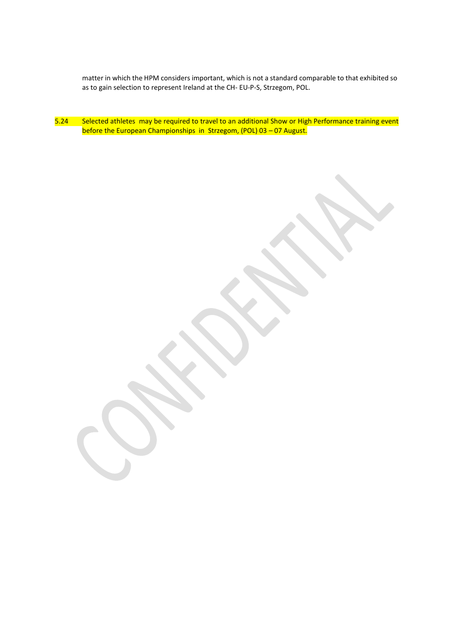matter in which the HPM considers important, which is not a standard comparable to that exhibited so as to gain selection to represent Ireland at the CH- EU-P-S, Strzegom, POL.

5.24 Selected athletes may be required to travel to an additional Show or High Performance training event before the European Championships in Strzegom, (POL) 03 – 07 August.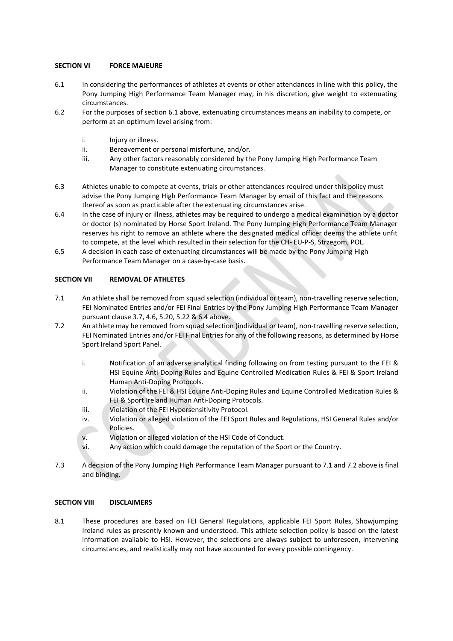# **SECTION VI FORCE MAJEURE**

- 6.1 In considering the performances of athletes at events or other attendances in line with this policy, the Pony Jumping High Performance Team Manager may, in his discretion, give weight to extenuating circumstances.
- 6.2 For the purposes of section 6.1 above, extenuating circumstances means an inability to compete, or perform at an optimum level arising from:
	- i. Injury or illness.
	- ii. Bereavement or personal misfortune, and/or.
	- iii. Any other factors reasonably considered by the Pony Jumping High Performance Team Manager to constitute extenuating circumstances.
- 6.3 Athletes unable to compete at events, trials or other attendances required under this policy must advise the Pony Jumping High Performance Team Manager by email of this fact and the reasons thereof as soon as practicable after the extenuating circumstances arise.
- 6.4 In the case of injury or illness, athletes may be required to undergo a medical examination by a doctor or doctor (s) nominated by Horse Sport Ireland. The Pony Jumping High Performance Team Manager reserves his right to remove an athlete where the designated medical officer deems the athlete unfit to compete, at the level which resulted in their selection for the CH- EU-P-S, Strzegom, POL.
- 6.5 A decision in each case of extenuating circumstances will be made by the Pony Jumping High Performance Team Manager on a case-by-case basis.

# **SECTION VII REMOVAL OF ATHLETES**

- 7.1 An athlete shall be removed from squad selection (individual or team), non-travelling reserve selection, FEI Nominated Entries and/or FEI Final Entries by the Pony Jumping High Performance Team Manager pursuant clause 3.7, 4.6, 5.20, 5.22 & 6.4 above.
- 7.2 An athlete may be removed from squad selection (individual or team), non-travelling reserve selection, FEI Nominated Entries and/or FEI Final Entries for any of the following reasons, as determined by Horse Sport Ireland Sport Panel.
	- i. Notification of an adverse analytical finding following on from testing pursuant to the FEI & HSI Equine Anti-Doping Rules and Equine Controlled Medication Rules & FEI & Sport Ireland Human Anti-Doping Protocols.
	- ii. Violation of the FEI & HSI Equine Anti-Doping Rules and Equine Controlled Medication Rules & FEI & Sport Ireland Human Anti-Doping Protocols.
	- iii. Violation of the FEI Hypersensitivity Protocol.
	- iv. Violation or alleged violation of the FEI Sport Rules and Regulations, HSI General Rules and/or Policies.
	- v. Violation or alleged violation of the HSI Code of Conduct.
	- vi. Any action which could damage the reputation of the Sport or the Country.
- 7.3 A decision of the Pony Jumping High Performance Team Manager pursuant to 7.1 and 7.2 above is final and binding.

# **SECTION VIII DISCLAIMERS**

8.1 These procedures are based on FEI General Regulations, applicable FEI Sport Rules, Showjumping Ireland rules as presently known and understood. This athlete selection policy is based on the latest information available to HSI. However, the selections are always subject to unforeseen, intervening circumstances, and realistically may not have accounted for every possible contingency.